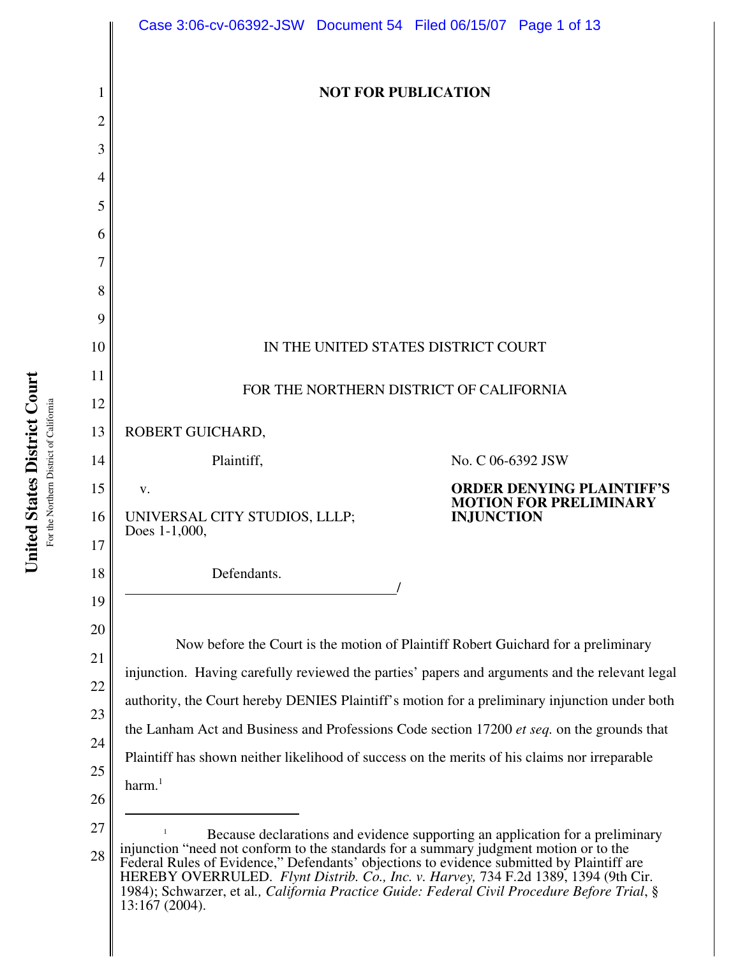|          | Case 3:06-cv-06392-JSW Document 54 Filed 06/15/07 Page 1 of 13                                                                                                                                                                                                                                                                                                                                                                                                                                   |                                                                   |
|----------|--------------------------------------------------------------------------------------------------------------------------------------------------------------------------------------------------------------------------------------------------------------------------------------------------------------------------------------------------------------------------------------------------------------------------------------------------------------------------------------------------|-------------------------------------------------------------------|
| 1        | <b>NOT FOR PUBLICATION</b>                                                                                                                                                                                                                                                                                                                                                                                                                                                                       |                                                                   |
| 2        |                                                                                                                                                                                                                                                                                                                                                                                                                                                                                                  |                                                                   |
| 3        |                                                                                                                                                                                                                                                                                                                                                                                                                                                                                                  |                                                                   |
| 4        |                                                                                                                                                                                                                                                                                                                                                                                                                                                                                                  |                                                                   |
| 5        |                                                                                                                                                                                                                                                                                                                                                                                                                                                                                                  |                                                                   |
| 6        |                                                                                                                                                                                                                                                                                                                                                                                                                                                                                                  |                                                                   |
| 7        |                                                                                                                                                                                                                                                                                                                                                                                                                                                                                                  |                                                                   |
| 8        |                                                                                                                                                                                                                                                                                                                                                                                                                                                                                                  |                                                                   |
| 9        |                                                                                                                                                                                                                                                                                                                                                                                                                                                                                                  |                                                                   |
| 10       | IN THE UNITED STATES DISTRICT COURT                                                                                                                                                                                                                                                                                                                                                                                                                                                              |                                                                   |
| 11       | FOR THE NORTHERN DISTRICT OF CALIFORNIA                                                                                                                                                                                                                                                                                                                                                                                                                                                          |                                                                   |
| 12       |                                                                                                                                                                                                                                                                                                                                                                                                                                                                                                  |                                                                   |
| 13       | ROBERT GUICHARD,                                                                                                                                                                                                                                                                                                                                                                                                                                                                                 |                                                                   |
| 14       | Plaintiff,                                                                                                                                                                                                                                                                                                                                                                                                                                                                                       | No. C 06-6392 JSW                                                 |
| 15       | V.                                                                                                                                                                                                                                                                                                                                                                                                                                                                                               | <b>ORDER DENYING PLAINTIFF'S</b><br><b>MOTION FOR PRELIMINARY</b> |
| 16       | UNIVERSAL CITY STUDIOS, LLLP;<br>Does 1-1,000,                                                                                                                                                                                                                                                                                                                                                                                                                                                   | <b>INJUNCTION</b>                                                 |
| 17<br>18 | Defendants.                                                                                                                                                                                                                                                                                                                                                                                                                                                                                      |                                                                   |
| 19       |                                                                                                                                                                                                                                                                                                                                                                                                                                                                                                  |                                                                   |
| 20       |                                                                                                                                                                                                                                                                                                                                                                                                                                                                                                  |                                                                   |
| 21       | Now before the Court is the motion of Plaintiff Robert Guichard for a preliminary<br>injunction. Having carefully reviewed the parties' papers and arguments and the relevant legal<br>authority, the Court hereby DENIES Plaintiff's motion for a preliminary injunction under both<br>the Lanham Act and Business and Professions Code section 17200 et seq. on the grounds that<br>Plaintiff has shown neither likelihood of success on the merits of his claims nor irreparable<br>harm. $1$ |                                                                   |
| 22       |                                                                                                                                                                                                                                                                                                                                                                                                                                                                                                  |                                                                   |
| 23       |                                                                                                                                                                                                                                                                                                                                                                                                                                                                                                  |                                                                   |
| 24       |                                                                                                                                                                                                                                                                                                                                                                                                                                                                                                  |                                                                   |
| 25       |                                                                                                                                                                                                                                                                                                                                                                                                                                                                                                  |                                                                   |
| 26       |                                                                                                                                                                                                                                                                                                                                                                                                                                                                                                  |                                                                   |
| 27       | Because declarations and evidence supporting an application for a preliminary<br>injunction "need not conform to the standards for a summary judgment motion or to the<br>Federal Rules of Evidence," Defendants' objections to evidence submitted by Plaintiff are<br>HEREBY OVERRULED. Flynt Distrib. Co., Inc. v. Harvey, 734 F.2d 1389, 1394 (9th Cir.<br>1984); Schwarzer, et al., California Practice Guide: Federal Civil Procedure Before Trial, §<br>13:167 (2004).                     |                                                                   |
| 28       |                                                                                                                                                                                                                                                                                                                                                                                                                                                                                                  |                                                                   |
|          |                                                                                                                                                                                                                                                                                                                                                                                                                                                                                                  |                                                                   |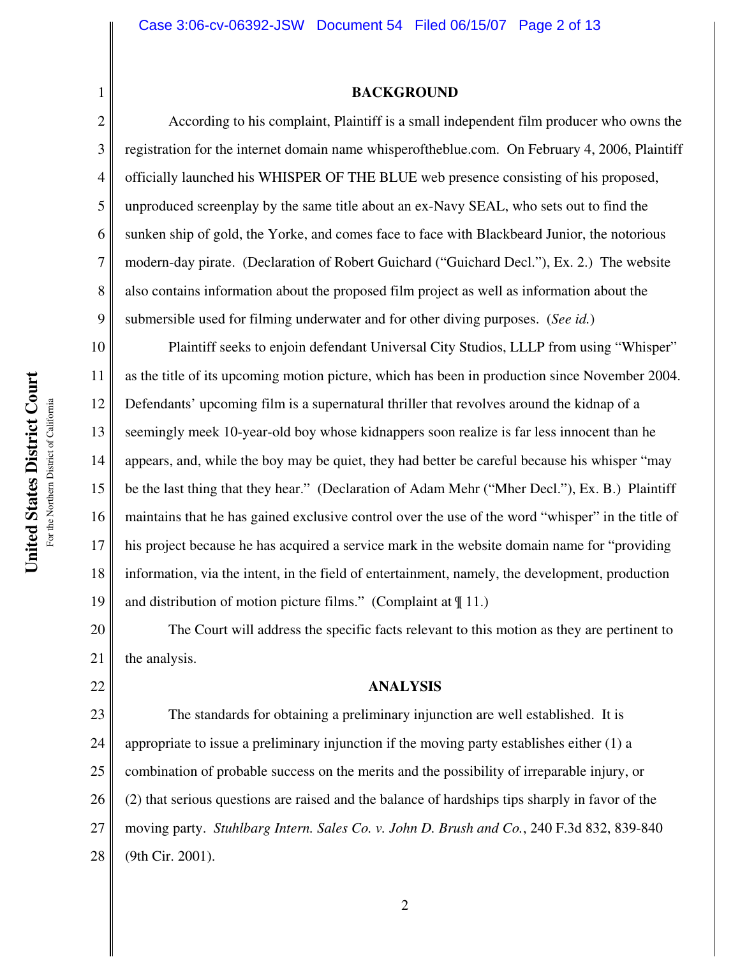### **BACKGROUND**

According to his complaint, Plaintiff is a small independent film producer who owns the registration for the internet domain name whisperoftheblue.com. On February 4, 2006, Plaintiff officially launched his WHISPER OF THE BLUE web presence consisting of his proposed, unproduced screenplay by the same title about an ex-Navy SEAL, who sets out to find the sunken ship of gold, the Yorke, and comes face to face with Blackbeard Junior, the notorious modern-day pirate. (Declaration of Robert Guichard ("Guichard Decl."), Ex. 2.) The website also contains information about the proposed film project as well as information about the submersible used for filming underwater and for other diving purposes. (*See id.*)

10 11 12 13 14 15 16 17 18 19 Plaintiff seeks to enjoin defendant Universal City Studios, LLLP from using "Whisper" as the title of its upcoming motion picture, which has been in production since November 2004. Defendants' upcoming film is a supernatural thriller that revolves around the kidnap of a seemingly meek 10-year-old boy whose kidnappers soon realize is far less innocent than he appears, and, while the boy may be quiet, they had better be careful because his whisper "may be the last thing that they hear." (Declaration of Adam Mehr ("Mher Decl."), Ex. B.) Plaintiff maintains that he has gained exclusive control over the use of the word "whisper" in the title of his project because he has acquired a service mark in the website domain name for "providing information, via the intent, in the field of entertainment, namely, the development, production and distribution of motion picture films." (Complaint at  $\P$  11.)

20 21 The Court will address the specific facts relevant to this motion as they are pertinent to the analysis.

#### **ANALYSIS**

23 24 25 26 27 28 The standards for obtaining a preliminary injunction are well established. It is appropriate to issue a preliminary injunction if the moving party establishes either (1) a combination of probable success on the merits and the possibility of irreparable injury, or (2) that serious questions are raised and the balance of hardships tips sharply in favor of the moving party. *Stuhlbarg Intern. Sales Co. v. John D. Brush and Co.*, 240 F.3d 832, 839-840 (9th Cir. 2001).

1

2

3

4

5

6

7

8

9

22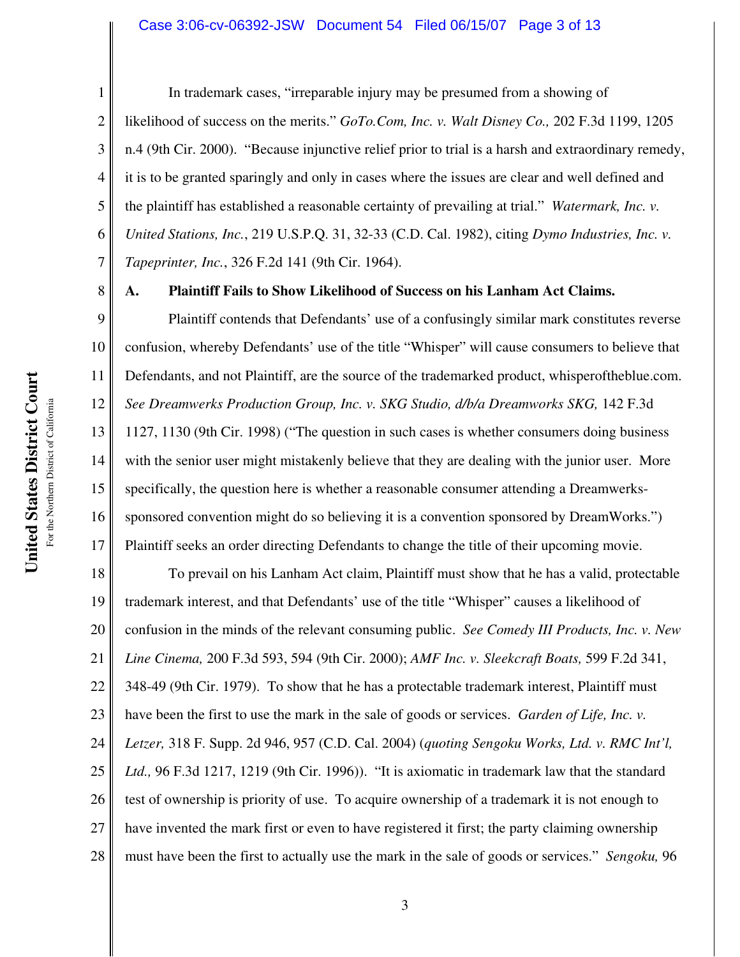2 3 4 5 6 7 In trademark cases, "irreparable injury may be presumed from a showing of likelihood of success on the merits." *GoTo.Com, Inc. v. Walt Disney Co.,* 202 F.3d 1199, 1205 n.4 (9th Cir. 2000). "Because injunctive relief prior to trial is a harsh and extraordinary remedy, it is to be granted sparingly and only in cases where the issues are clear and well defined and the plaintiff has established a reasonable certainty of prevailing at trial." *Watermark, Inc. v. United Stations, Inc.*, 219 U.S.P.Q. 31, 32-33 (C.D. Cal. 1982), citing *Dymo Industries, Inc. v. Tapeprinter, Inc.*, 326 F.2d 141 (9th Cir. 1964).

8

1

#### **A. Plaintiff Fails to Show Likelihood of Success on his Lanham Act Claims.**

9 10 11 12 13 14 15 16 17 Plaintiff contends that Defendants' use of a confusingly similar mark constitutes reverse confusion, whereby Defendants' use of the title "Whisper" will cause consumers to believe that Defendants, and not Plaintiff, are the source of the trademarked product, whisperoftheblue.com. *See Dreamwerks Production Group, Inc. v. SKG Studio, d/b/a Dreamworks SKG,* 142 F.3d 1127, 1130 (9th Cir. 1998) ("The question in such cases is whether consumers doing business with the senior user might mistakenly believe that they are dealing with the junior user. More specifically, the question here is whether a reasonable consumer attending a Dreamwerkssponsored convention might do so believing it is a convention sponsored by DreamWorks.") Plaintiff seeks an order directing Defendants to change the title of their upcoming movie.

18 19 20 21 22 23 24 25 26 27 28 To prevail on his Lanham Act claim, Plaintiff must show that he has a valid, protectable trademark interest, and that Defendants' use of the title "Whisper" causes a likelihood of confusion in the minds of the relevant consuming public. *See Comedy III Products, Inc. v. New Line Cinema,* 200 F.3d 593, 594 (9th Cir. 2000); *AMF Inc. v. Sleekcraft Boats,* 599 F.2d 341, 348-49 (9th Cir. 1979). To show that he has a protectable trademark interest, Plaintiff must have been the first to use the mark in the sale of goods or services. *Garden of Life, Inc. v. Letzer,* 318 F. Supp. 2d 946, 957 (C.D. Cal. 2004) (*quoting Sengoku Works, Ltd. v. RMC Int'l, Ltd.,* 96 F.3d 1217, 1219 (9th Cir. 1996)). "It is axiomatic in trademark law that the standard test of ownership is priority of use. To acquire ownership of a trademark it is not enough to have invented the mark first or even to have registered it first; the party claiming ownership must have been the first to actually use the mark in the sale of goods or services." *Sengoku,* 96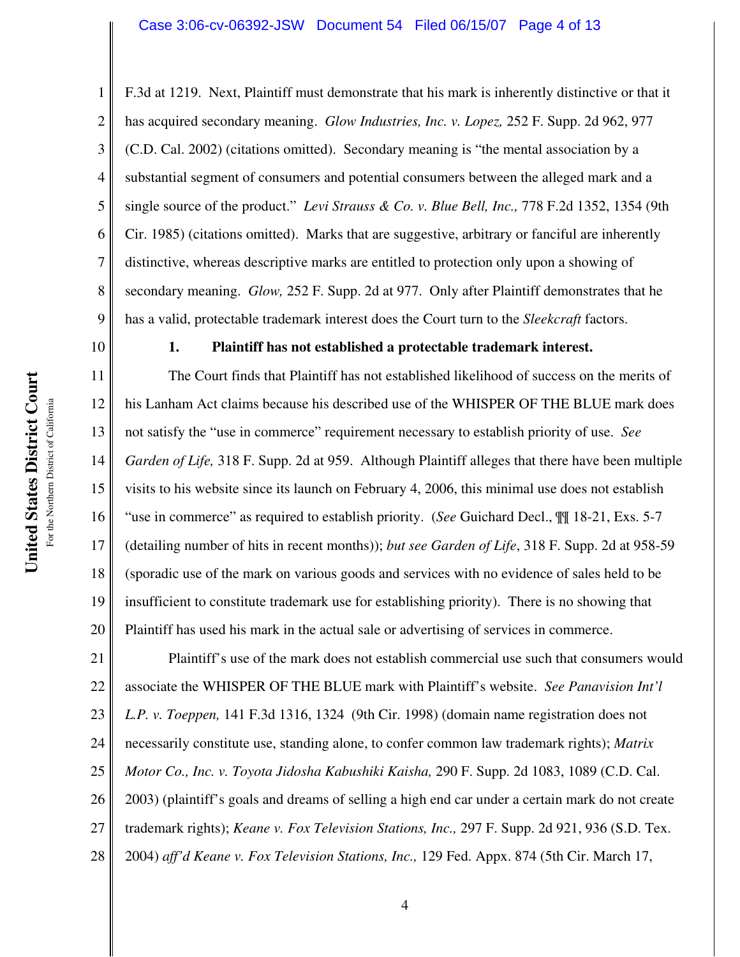### Case 3:06-cv-06392-JSW Document 54 Filed 06/15/07 Page 4 of 13

F.3d at 1219. Next, Plaintiff must demonstrate that his mark is inherently distinctive or that it has acquired secondary meaning. *Glow Industries, Inc. v. Lopez,* 252 F. Supp. 2d 962, 977 (C.D. Cal. 2002) (citations omitted). Secondary meaning is "the mental association by a substantial segment of consumers and potential consumers between the alleged mark and a single source of the product." *Levi Strauss & Co. v. Blue Bell, Inc.,* 778 F.2d 1352, 1354 (9th Cir. 1985) (citations omitted). Marks that are suggestive, arbitrary or fanciful are inherently distinctive, whereas descriptive marks are entitled to protection only upon a showing of secondary meaning. *Glow,* 252 F. Supp. 2d at 977. Only after Plaintiff demonstrates that he has a valid, protectable trademark interest does the Court turn to the *Sleekcraft* factors.

10

1

2

3

4

5

6

7

8

9

## **1. Plaintiff has not established a protectable trademark interest.**

11 12 13 14 15 16 17 18 19 20 The Court finds that Plaintiff has not established likelihood of success on the merits of his Lanham Act claims because his described use of the WHISPER OF THE BLUE mark does not satisfy the "use in commerce" requirement necessary to establish priority of use. *See Garden of Life,* 318 F. Supp. 2d at 959. Although Plaintiff alleges that there have been multiple visits to his website since its launch on February 4, 2006, this minimal use does not establish "use in commerce" as required to establish priority. (*See* Guichard Decl., ¶¶ 18-21, Exs. 5-7 (detailing number of hits in recent months)); *but see Garden of Life*, 318 F. Supp. 2d at 958-59 (sporadic use of the mark on various goods and services with no evidence of sales held to be insufficient to constitute trademark use for establishing priority). There is no showing that Plaintiff has used his mark in the actual sale or advertising of services in commerce.

21 22 23 24 25 26 27 28 Plaintiff's use of the mark does not establish commercial use such that consumers would associate the WHISPER OF THE BLUE mark with Plaintiff's website. *See Panavision Int'l L.P. v. Toeppen,* 141 F.3d 1316, 1324 (9th Cir. 1998) (domain name registration does not necessarily constitute use, standing alone, to confer common law trademark rights); *Matrix Motor Co., Inc. v. Toyota Jidosha Kabushiki Kaisha,* 290 F. Supp. 2d 1083, 1089 (C.D. Cal. 2003) (plaintiff's goals and dreams of selling a high end car under a certain mark do not create trademark rights); *Keane v. Fox Television Stations, Inc.,* 297 F. Supp. 2d 921, 936 (S.D. Tex. 2004) *aff'd Keane v. Fox Television Stations, Inc.,* 129 Fed. Appx. 874 (5th Cir. March 17,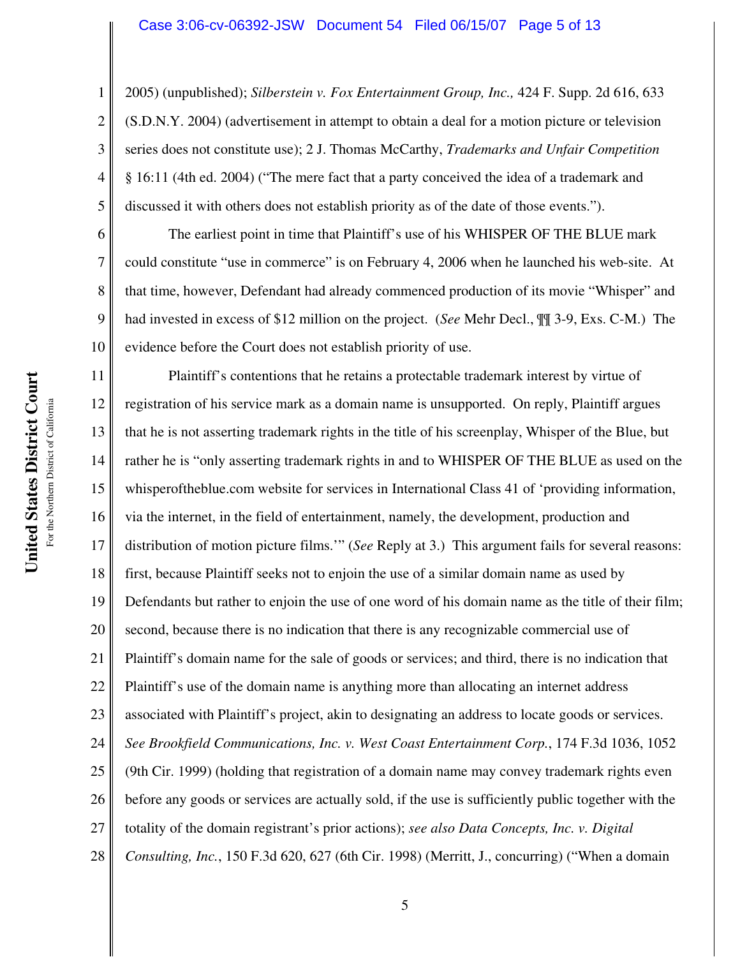2005) (unpublished); *Silberstein v. Fox Entertainment Group, Inc.,* 424 F. Supp. 2d 616, 633 (S.D.N.Y. 2004) (advertisement in attempt to obtain a deal for a motion picture or television series does not constitute use); 2 J. Thomas McCarthy, *Trademarks and Unfair Competition* § 16:11 (4th ed. 2004) ("The mere fact that a party conceived the idea of a trademark and discussed it with others does not establish priority as of the date of those events.").

The earliest point in time that Plaintiff's use of his WHISPER OF THE BLUE mark could constitute "use in commerce" is on February 4, 2006 when he launched his web-site. At that time, however, Defendant had already commenced production of its movie "Whisper" and had invested in excess of \$12 million on the project. (*See* Mehr Decl., ¶¶ 3-9, Exs. C-M.) The evidence before the Court does not establish priority of use.

11 12 13 14 15 16 17 18 19 20 21 22 23 24 25 26 27 28 Plaintiff's contentions that he retains a protectable trademark interest by virtue of registration of his service mark as a domain name is unsupported. On reply, Plaintiff argues that he is not asserting trademark rights in the title of his screenplay, Whisper of the Blue, but rather he is "only asserting trademark rights in and to WHISPER OF THE BLUE as used on the whisperoftheblue.com website for services in International Class 41 of 'providing information, via the internet, in the field of entertainment, namely, the development, production and distribution of motion picture films.'" (*See* Reply at 3.) This argument fails for several reasons: first, because Plaintiff seeks not to enjoin the use of a similar domain name as used by Defendants but rather to enjoin the use of one word of his domain name as the title of their film; second, because there is no indication that there is any recognizable commercial use of Plaintiff's domain name for the sale of goods or services; and third, there is no indication that Plaintiff's use of the domain name is anything more than allocating an internet address associated with Plaintiff's project, akin to designating an address to locate goods or services. *See Brookfield Communications, Inc. v. West Coast Entertainment Corp.*, 174 F.3d 1036, 1052 (9th Cir. 1999) (holding that registration of a domain name may convey trademark rights even before any goods or services are actually sold, if the use is sufficiently public together with the totality of the domain registrant's prior actions); *see also Data Concepts, Inc. v. Digital Consulting, Inc.*, 150 F.3d 620, 627 (6th Cir. 1998) (Merritt, J., concurring) ("When a domain

1

2

3

4

5

6

7

8

9

10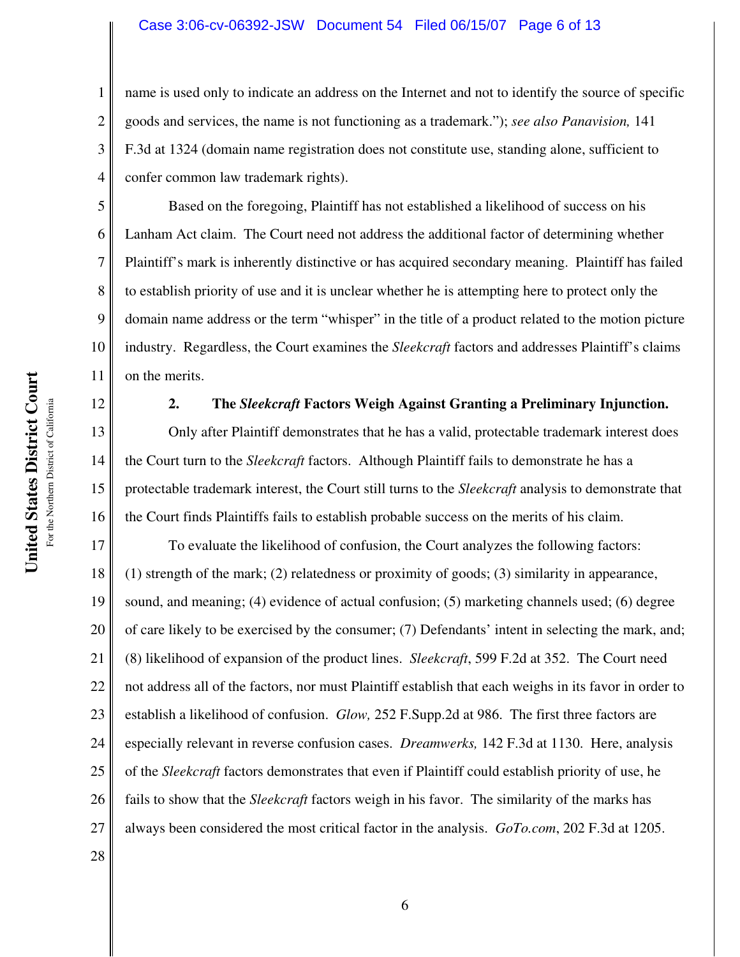## Case 3:06-cv-06392-JSW Document 54 Filed 06/15/07 Page 6 of 13

name is used only to indicate an address on the Internet and not to identify the source of specific goods and services, the name is not functioning as a trademark."); *see also Panavision,* 141 F.3d at 1324 (domain name registration does not constitute use, standing alone, sufficient to confer common law trademark rights).

Based on the foregoing, Plaintiff has not established a likelihood of success on his Lanham Act claim. The Court need not address the additional factor of determining whether Plaintiff's mark is inherently distinctive or has acquired secondary meaning. Plaintiff has failed to establish priority of use and it is unclear whether he is attempting here to protect only the domain name address or the term "whisper" in the title of a product related to the motion picture industry. Regardless, the Court examines the *Sleekcraft* factors and addresses Plaintiff's claims on the merits.

1

2

3

4

5

6

7

8

9

10

11

12

13

14

15

16

## **2. The** *Sleekcraft* **Factors Weigh Against Granting a Preliminary Injunction.**

Only after Plaintiff demonstrates that he has a valid, protectable trademark interest does the Court turn to the *Sleekcraft* factors. Although Plaintiff fails to demonstrate he has a protectable trademark interest, the Court still turns to the *Sleekcraft* analysis to demonstrate that the Court finds Plaintiffs fails to establish probable success on the merits of his claim.

17 18 19 20 21 22 23 24 25 26 27 To evaluate the likelihood of confusion, the Court analyzes the following factors: (1) strength of the mark; (2) relatedness or proximity of goods; (3) similarity in appearance, sound, and meaning; (4) evidence of actual confusion; (5) marketing channels used; (6) degree of care likely to be exercised by the consumer; (7) Defendants' intent in selecting the mark, and; (8) likelihood of expansion of the product lines. *Sleekcraft*, 599 F.2d at 352. The Court need not address all of the factors, nor must Plaintiff establish that each weighs in its favor in order to establish a likelihood of confusion. *Glow,* 252 F.Supp.2d at 986. The first three factors are especially relevant in reverse confusion cases. *Dreamwerks,* 142 F.3d at 1130. Here, analysis of the *Sleekcraft* factors demonstrates that even if Plaintiff could establish priority of use, he fails to show that the *Sleekcraft* factors weigh in his favor. The similarity of the marks has always been considered the most critical factor in the analysis. *GoTo.com*, 202 F.3d at 1205.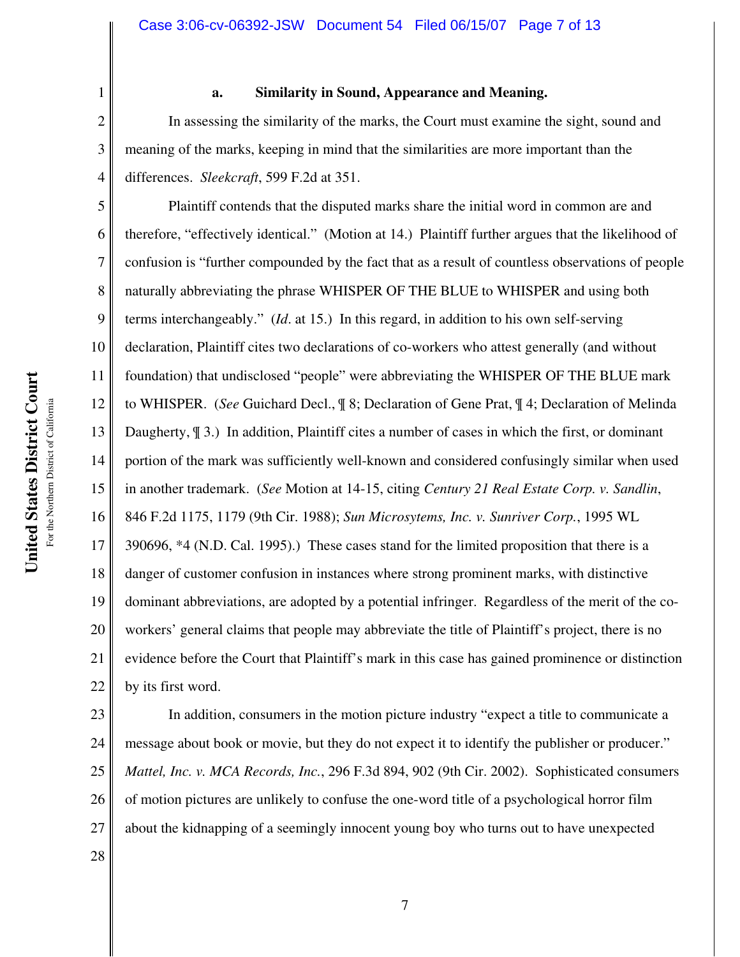**United States District Court** For the Northern District of California For the Northern District of California

United States District Court

1

2

3

4

**a. Similarity in Sound, Appearance and Meaning.**

In assessing the similarity of the marks, the Court must examine the sight, sound and meaning of the marks, keeping in mind that the similarities are more important than the differences. *Sleekcraft*, 599 F.2d at 351.

5 6 7 8 9 10 11 12 13 14 15 16 17 18 19 20 21 22 Plaintiff contends that the disputed marks share the initial word in common are and therefore, "effectively identical." (Motion at 14.) Plaintiff further argues that the likelihood of confusion is "further compounded by the fact that as a result of countless observations of people naturally abbreviating the phrase WHISPER OF THE BLUE to WHISPER and using both terms interchangeably." (*Id*. at 15.) In this regard, in addition to his own self-serving declaration, Plaintiff cites two declarations of co-workers who attest generally (and without foundation) that undisclosed "people" were abbreviating the WHISPER OF THE BLUE mark to WHISPER. (*See* Guichard Decl., ¶ 8; Declaration of Gene Prat, ¶ 4; Declaration of Melinda Daugherty, ¶ 3.) In addition, Plaintiff cites a number of cases in which the first, or dominant portion of the mark was sufficiently well-known and considered confusingly similar when used in another trademark. (*See* Motion at 14-15, citing *Century 21 Real Estate Corp. v. Sandlin*, 846 F.2d 1175, 1179 (9th Cir. 1988); *Sun Microsytems, Inc. v. Sunriver Corp.*, 1995 WL 390696, \*4 (N.D. Cal. 1995).) These cases stand for the limited proposition that there is a danger of customer confusion in instances where strong prominent marks, with distinctive dominant abbreviations, are adopted by a potential infringer. Regardless of the merit of the coworkers' general claims that people may abbreviate the title of Plaintiff's project, there is no evidence before the Court that Plaintiff's mark in this case has gained prominence or distinction by its first word.

23 24 25 26 27 In addition, consumers in the motion picture industry "expect a title to communicate a message about book or movie, but they do not expect it to identify the publisher or producer." *Mattel, Inc. v. MCA Records, Inc.*, 296 F.3d 894, 902 (9th Cir. 2002). Sophisticated consumers of motion pictures are unlikely to confuse the one-word title of a psychological horror film about the kidnapping of a seemingly innocent young boy who turns out to have unexpected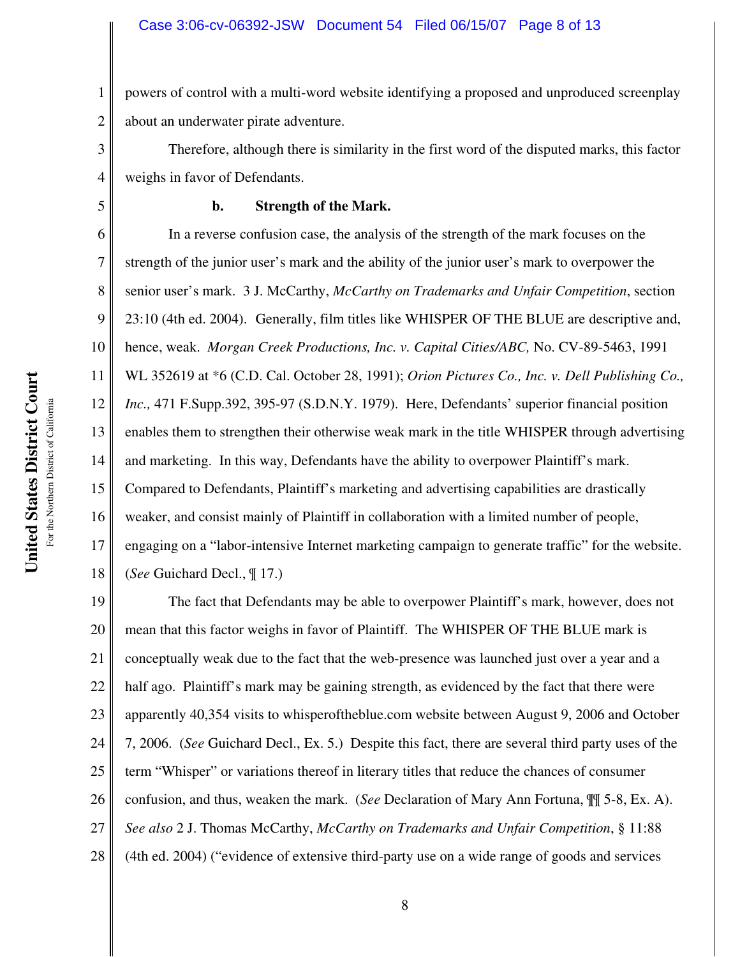1 2 powers of control with a multi-word website identifying a proposed and unproduced screenplay about an underwater pirate adventure.

4 Therefore, although there is similarity in the first word of the disputed marks, this factor weighs in favor of Defendants.

# 5

3

## **b. Strength of the Mark.**

6 7 8 9 10 11 12 13 14 15 16 17 18 In a reverse confusion case, the analysis of the strength of the mark focuses on the strength of the junior user's mark and the ability of the junior user's mark to overpower the senior user's mark. 3 J. McCarthy, *McCarthy on Trademarks and Unfair Competition*, section 23:10 (4th ed. 2004). Generally, film titles like WHISPER OF THE BLUE are descriptive and, hence, weak. *Morgan Creek Productions, Inc. v. Capital Cities/ABC,* No. CV-89-5463, 1991 WL 352619 at \*6 (C.D. Cal. October 28, 1991); *Orion Pictures Co., Inc. v. Dell Publishing Co., Inc.,* 471 F.Supp.392, 395-97 (S.D.N.Y. 1979). Here, Defendants' superior financial position enables them to strengthen their otherwise weak mark in the title WHISPER through advertising and marketing. In this way, Defendants have the ability to overpower Plaintiff's mark. Compared to Defendants, Plaintiff's marketing and advertising capabilities are drastically weaker, and consist mainly of Plaintiff in collaboration with a limited number of people, engaging on a "labor-intensive Internet marketing campaign to generate traffic" for the website. (*See* Guichard Decl., ¶ 17.)

19 20 21 22 23 24 25 26 27 28 The fact that Defendants may be able to overpower Plaintiff's mark, however, does not mean that this factor weighs in favor of Plaintiff. The WHISPER OF THE BLUE mark is conceptually weak due to the fact that the web-presence was launched just over a year and a half ago. Plaintiff's mark may be gaining strength, as evidenced by the fact that there were apparently 40,354 visits to whisperoftheblue.com website between August 9, 2006 and October 7, 2006. (*See* Guichard Decl., Ex. 5.) Despite this fact, there are several third party uses of the term "Whisper" or variations thereof in literary titles that reduce the chances of consumer confusion, and thus, weaken the mark. (*See* Declaration of Mary Ann Fortuna, ¶¶ 5-8, Ex. A). *See also* 2 J. Thomas McCarthy, *McCarthy on Trademarks and Unfair Competition*, § 11:88 (4th ed. 2004) ("evidence of extensive third-party use on a wide range of goods and services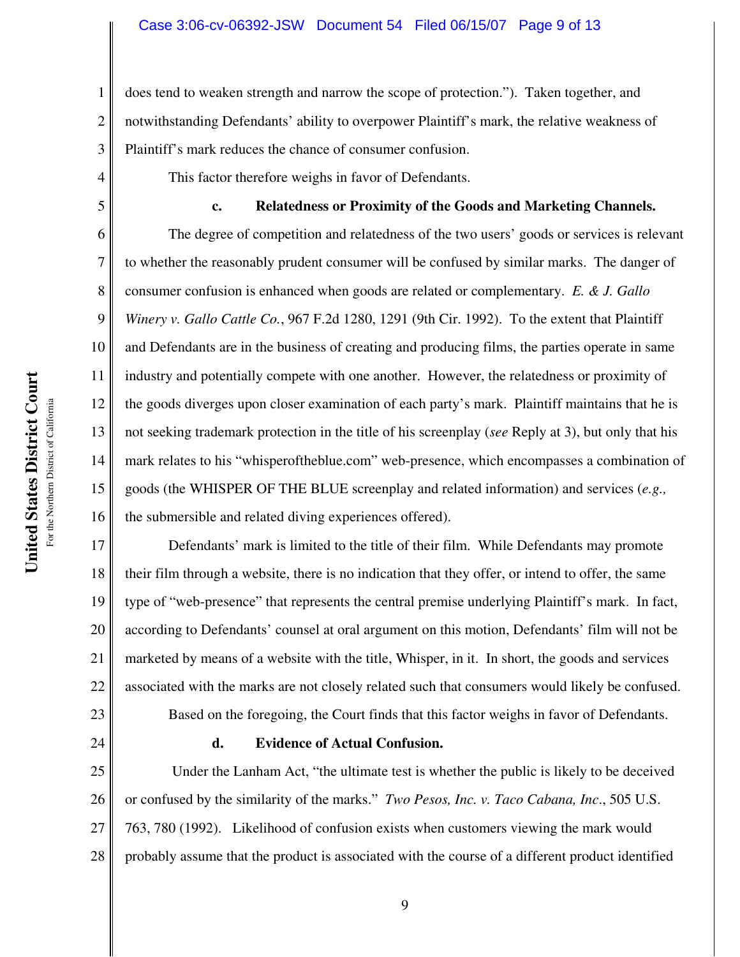1 2 3 does tend to weaken strength and narrow the scope of protection."). Taken together, and notwithstanding Defendants' ability to overpower Plaintiff's mark, the relative weakness of Plaintiff's mark reduces the chance of consumer confusion.

This factor therefore weighs in favor of Defendants.

## **c. Relatedness or Proximity of the Goods and Marketing Channels.**

The degree of competition and relatedness of the two users' goods or services is relevant to whether the reasonably prudent consumer will be confused by similar marks. The danger of consumer confusion is enhanced when goods are related or complementary. *E. & J. Gallo Winery v. Gallo Cattle Co.*, 967 F.2d 1280, 1291 (9th Cir. 1992). To the extent that Plaintiff and Defendants are in the business of creating and producing films, the parties operate in same industry and potentially compete with one another. However, the relatedness or proximity of the goods diverges upon closer examination of each party's mark. Plaintiff maintains that he is not seeking trademark protection in the title of his screenplay (*see* Reply at 3), but only that his mark relates to his "whisperoftheblue.com" web-presence, which encompasses a combination of goods (the WHISPER OF THE BLUE screenplay and related information) and services (*e.g.,* the submersible and related diving experiences offered).

17 18 19 20 21 22 23 Defendants' mark is limited to the title of their film. While Defendants may promote their film through a website, there is no indication that they offer, or intend to offer, the same type of "web-presence" that represents the central premise underlying Plaintiff's mark. In fact, according to Defendants' counsel at oral argument on this motion, Defendants' film will not be marketed by means of a website with the title, Whisper, in it. In short, the goods and services associated with the marks are not closely related such that consumers would likely be confused. Based on the foregoing, the Court finds that this factor weighs in favor of Defendants.

24

4

5

6

7

8

9

10

11

12

13

14

15

16

## **d. Evidence of Actual Confusion.**

25 26 27 28 Under the Lanham Act, "the ultimate test is whether the public is likely to be deceived or confused by the similarity of the marks." *Two Pesos, Inc. v. Taco Cabana, Inc*., 505 U.S. 763, 780 (1992). Likelihood of confusion exists when customers viewing the mark would probably assume that the product is associated with the course of a different product identified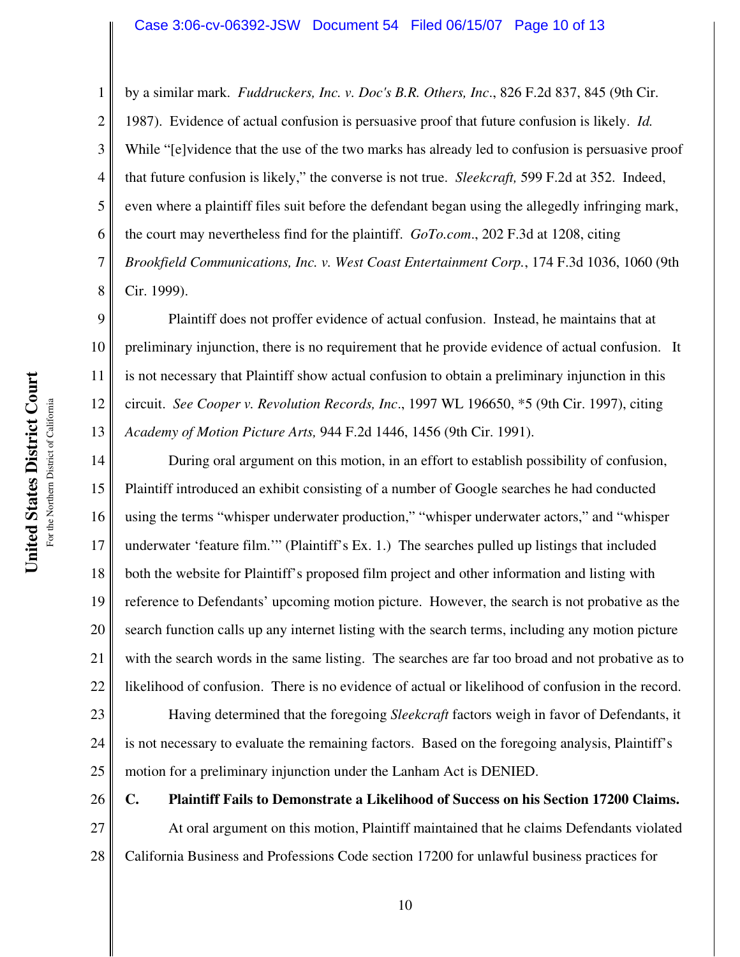#### Case 3:06-cv-06392-JSW Document 54 Filed 06/15/07 Page 10 of 13

2 3 4 5 6 7 8 by a similar mark. *Fuddruckers, Inc. v. Doc's B.R. Others, Inc*., 826 F.2d 837, 845 (9th Cir. 1987). Evidence of actual confusion is persuasive proof that future confusion is likely. *Id.*  While "[e]vidence that the use of the two marks has already led to confusion is persuasive proof that future confusion is likely," the converse is not true. *Sleekcraft,* 599 F.2d at 352. Indeed, even where a plaintiff files suit before the defendant began using the allegedly infringing mark, the court may nevertheless find for the plaintiff. *GoTo.com*., 202 F.3d at 1208, citing *Brookfield Communications, Inc. v. West Coast Entertainment Corp.*, 174 F.3d 1036, 1060 (9th Cir. 1999).

9 10 11 12 13 Plaintiff does not proffer evidence of actual confusion. Instead, he maintains that at preliminary injunction, there is no requirement that he provide evidence of actual confusion. It is not necessary that Plaintiff show actual confusion to obtain a preliminary injunction in this circuit. *See Cooper v. Revolution Records, Inc*., 1997 WL 196650, \*5 (9th Cir. 1997), citing *Academy of Motion Picture Arts,* 944 F.2d 1446, 1456 (9th Cir. 1991).

14 15 16 17 18 19 20 21 22 During oral argument on this motion, in an effort to establish possibility of confusion, Plaintiff introduced an exhibit consisting of a number of Google searches he had conducted using the terms "whisper underwater production," "whisper underwater actors," and "whisper underwater 'feature film.'" (Plaintiff's Ex. 1.) The searches pulled up listings that included both the website for Plaintiff's proposed film project and other information and listing with reference to Defendants' upcoming motion picture. However, the search is not probative as the search function calls up any internet listing with the search terms, including any motion picture with the search words in the same listing. The searches are far too broad and not probative as to likelihood of confusion. There is no evidence of actual or likelihood of confusion in the record.

23 24 25 Having determined that the foregoing *Sleekcraft* factors weigh in favor of Defendants, it is not necessary to evaluate the remaining factors. Based on the foregoing analysis, Plaintiff's motion for a preliminary injunction under the Lanham Act is DENIED.

26 27 28 **C. Plaintiff Fails to Demonstrate a Likelihood of Success on his Section 17200 Claims.** At oral argument on this motion, Plaintiff maintained that he claims Defendants violated California Business and Professions Code section 17200 for unlawful business practices for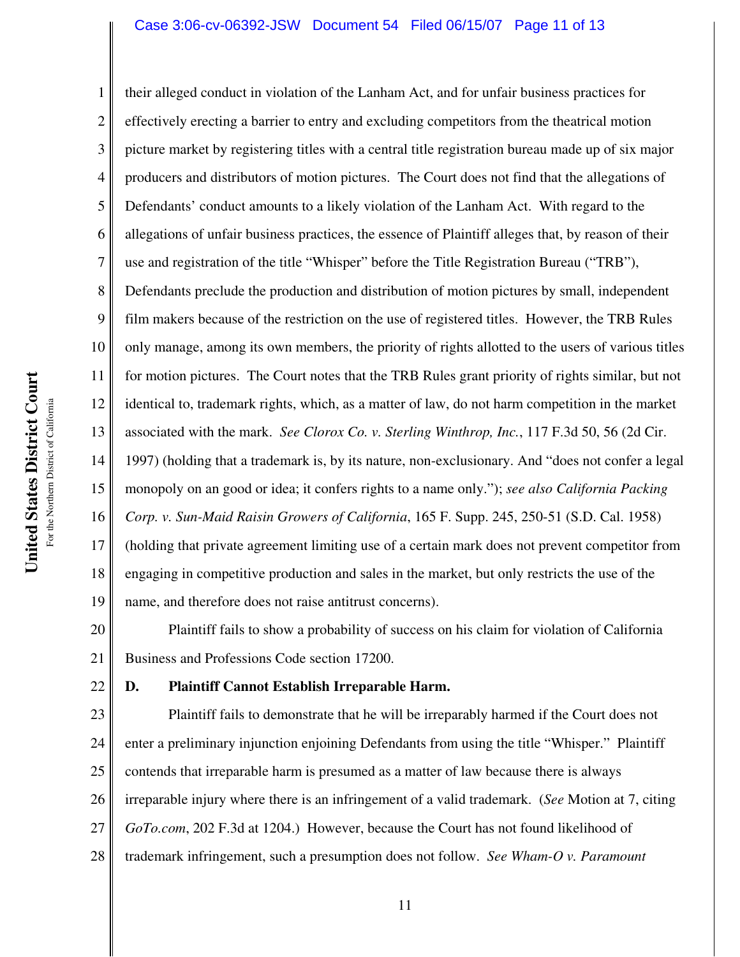## Case 3:06-cv-06392-JSW Document 54 Filed 06/15/07 Page 11 of 13

13 16 their alleged conduct in violation of the Lanham Act, and for unfair business practices for effectively erecting a barrier to entry and excluding competitors from the theatrical motion picture market by registering titles with a central title registration bureau made up of six major producers and distributors of motion pictures. The Court does not find that the allegations of Defendants' conduct amounts to a likely violation of the Lanham Act. With regard to the allegations of unfair business practices, the essence of Plaintiff alleges that, by reason of their use and registration of the title "Whisper" before the Title Registration Bureau ("TRB"), Defendants preclude the production and distribution of motion pictures by small, independent film makers because of the restriction on the use of registered titles. However, the TRB Rules only manage, among its own members, the priority of rights allotted to the users of various titles for motion pictures. The Court notes that the TRB Rules grant priority of rights similar, but not identical to, trademark rights, which, as a matter of law, do not harm competition in the market associated with the mark. *See Clorox Co. v. Sterling Winthrop, Inc.*, 117 F.3d 50, 56 (2d Cir. 1997) (holding that a trademark is, by its nature, non-exclusionary. And "does not confer a legal monopoly on an good or idea; it confers rights to a name only."); *see also California Packing Corp. v. Sun-Maid Raisin Growers of California*, 165 F. Supp. 245, 250-51 (S.D. Cal. 1958) (holding that private agreement limiting use of a certain mark does not prevent competitor from engaging in competitive production and sales in the market, but only restricts the use of the name, and therefore does not raise antitrust concerns).

20 21 Plaintiff fails to show a probability of success on his claim for violation of California Business and Professions Code section 17200.

## 22

1

2

3

4

5

6

7

8

9

10

11

12

14

15

17

18

19

## **D. Plaintiff Cannot Establish Irreparable Harm.**

23 24 25 26 27 28 Plaintiff fails to demonstrate that he will be irreparably harmed if the Court does not enter a preliminary injunction enjoining Defendants from using the title "Whisper." Plaintiff contends that irreparable harm is presumed as a matter of law because there is always irreparable injury where there is an infringement of a valid trademark. (*See* Motion at 7, citing *GoTo.com*, 202 F.3d at 1204.) However, because the Court has not found likelihood of trademark infringement, such a presumption does not follow. *See Wham-O v. Paramount*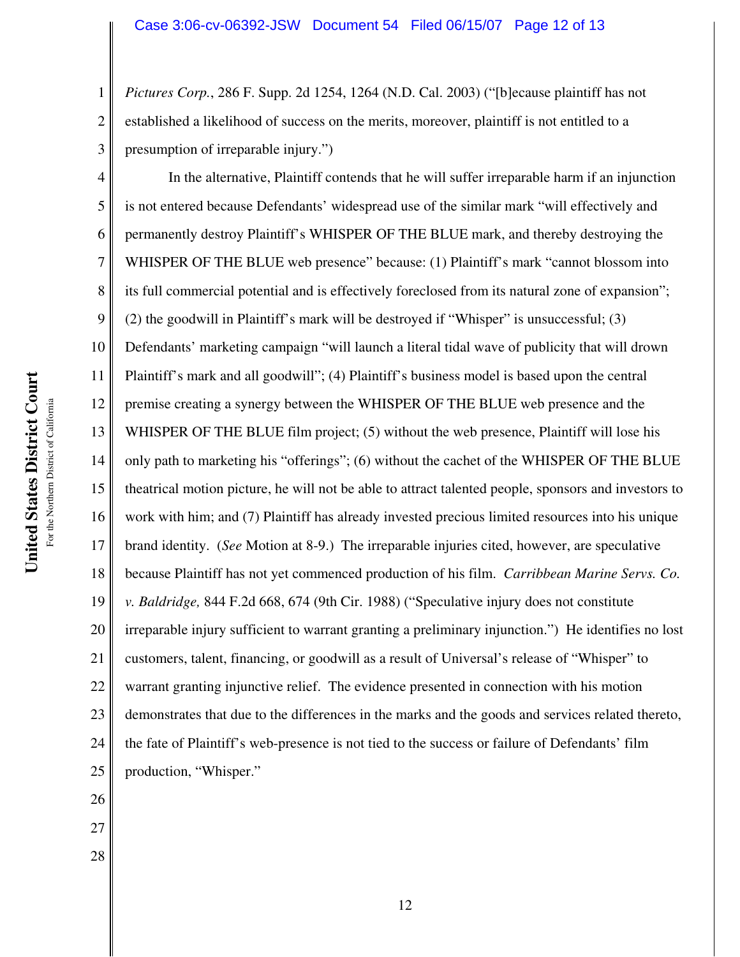*Pictures Corp.*, 286 F. Supp. 2d 1254, 1264 (N.D. Cal. 2003) ("[b]ecause plaintiff has not established a likelihood of success on the merits, moreover, plaintiff is not entitled to a presumption of irreparable injury.")

4 5 6 7 8 9 10 11 12 13 14 15 16 17 18 19 20 21 22 23 24 25 In the alternative, Plaintiff contends that he will suffer irreparable harm if an injunction is not entered because Defendants' widespread use of the similar mark "will effectively and permanently destroy Plaintiff's WHISPER OF THE BLUE mark, and thereby destroying the WHISPER OF THE BLUE web presence" because: (1) Plaintiff's mark "cannot blossom into its full commercial potential and is effectively foreclosed from its natural zone of expansion"; (2) the goodwill in Plaintiff's mark will be destroyed if "Whisper" is unsuccessful; (3) Defendants' marketing campaign "will launch a literal tidal wave of publicity that will drown Plaintiff's mark and all goodwill"; (4) Plaintiff's business model is based upon the central premise creating a synergy between the WHISPER OF THE BLUE web presence and the WHISPER OF THE BLUE film project; (5) without the web presence, Plaintiff will lose his only path to marketing his "offerings"; (6) without the cachet of the WHISPER OF THE BLUE theatrical motion picture, he will not be able to attract talented people, sponsors and investors to work with him; and (7) Plaintiff has already invested precious limited resources into his unique brand identity. (*See* Motion at 8-9.) The irreparable injuries cited, however, are speculative because Plaintiff has not yet commenced production of his film. *Carribbean Marine Servs. Co. v. Baldridge,* 844 F.2d 668, 674 (9th Cir. 1988) ("Speculative injury does not constitute irreparable injury sufficient to warrant granting a preliminary injunction.") He identifies no lost customers, talent, financing, or goodwill as a result of Universal's release of "Whisper" to warrant granting injunctive relief. The evidence presented in connection with his motion demonstrates that due to the differences in the marks and the goods and services related thereto, the fate of Plaintiff's web-presence is not tied to the success or failure of Defendants' film production, "Whisper."

United States District Court **United States District Court** For the Northern District of California For the Northern District of California

26

27

28

1

2